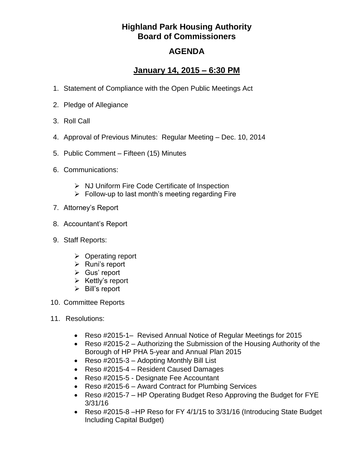## **Highland Park Housing Authority Board of Commissioners**

## **AGENDA**

## **January 14, 2015 – 6:30 PM**

- 1. Statement of Compliance with the Open Public Meetings Act
- 2. Pledge of Allegiance
- 3. Roll Call
- 4. Approval of Previous Minutes: Regular Meeting Dec. 10, 2014
- 5. Public Comment Fifteen (15) Minutes
- 6. Communications:
	- $\triangleright$  NJ Uniform Fire Code Certificate of Inspection
	- $\triangleright$  Follow-up to last month's meeting regarding Fire
- 7. Attorney's Report
- 8. Accountant's Report
- 9. Staff Reports:
	- $\triangleright$  Operating report
	- $\triangleright$  Runi's report
	- $\triangleright$  Gus' report
	- $\triangleright$  Kettly's report
	- $\triangleright$  Bill's report
- 10. Committee Reports
- 11. Resolutions:
	- Reso #2015-1– Revised Annual Notice of Regular Meetings for 2015
	- Reso #2015-2 Authorizing the Submission of the Housing Authority of the Borough of HP PHA 5-year and Annual Plan 2015
	- Reso #2015-3 Adopting Monthly Bill List
	- Reso #2015-4 Resident Caused Damages
	- Reso #2015-5 Designate Fee Accountant
	- Reso #2015-6 Award Contract for Plumbing Services
	- Reso #2015-7 HP Operating Budget Reso Approving the Budget for FYE 3/31/16
	- Reso #2015-8 -HP Reso for FY 4/1/15 to 3/31/16 (Introducing State Budget Including Capital Budget)